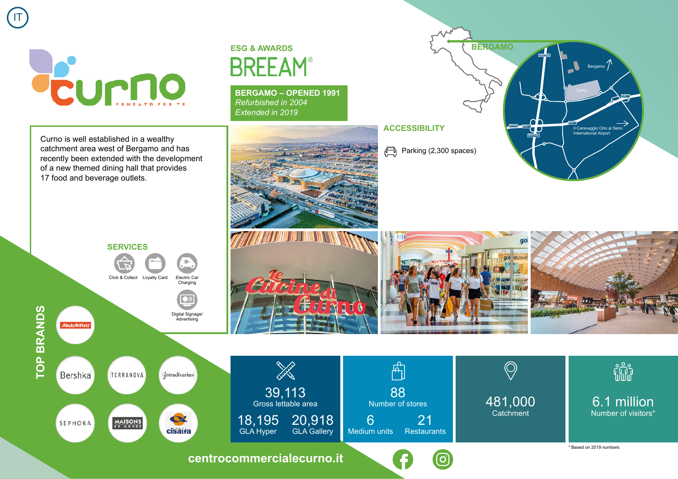

IT

**TOP BRANDS**

**TOP BRANDS** 

recently been extended with the development of a new themed dining hall that provides 75009 Paris  $\overline{\phantom{a}}$ 2012 metata pertama di kecamatan di sebagai di kecamatan di dikenali di dalam pertama di dikenali di dikenali <br>Di dikenali di dikenali di dikenali di dikenali di dikenali di dikenali di dikenali di dikenali di dikenali di 17 food and beverage outlets. Curno is well established in a wealthy catchment area west of Bergamo and has

## **ESG & AWARDS BREEAM®**

**BERGAMO – OPENED 1991** *Refurbished in 2004 Extended in 2019*











## fili 6.1 million Number of visitors\*

\* Based on 2019 numbers